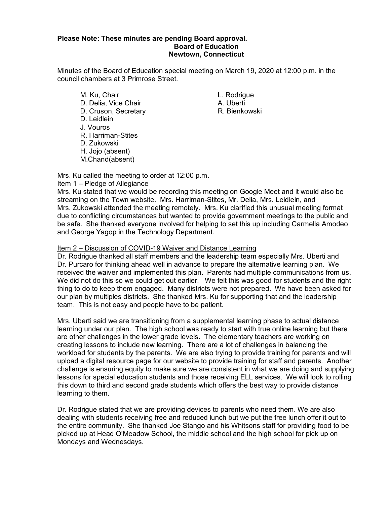### **Please Note: These minutes are pending Board approval. Board of Education Newtown, Connecticut**

Minutes of the Board of Education special meeting on March 19, 2020 at 12:00 p.m. in the council chambers at 3 Primrose Street.

- M. Ku, Chair **L. Rodrigue** D. Delia, Vice Chair **A. Uberti** D. Cruson, Secretary **R. Bienkowski** D. Leidlein J. Vouros R. Harriman-Stites D. Zukowski H. Jojo (absent) M.Chand(absent)
	-

Mrs. Ku called the meeting to order at 12:00 p.m. Item 1 – Pledge of Allegiance

Mrs. Ku stated that we would be recording this meeting on Google Meet and it would also be streaming on the Town website. Mrs. Harriman-Stites, Mr. Delia, Mrs. Leidlein, and Mrs. Zukowski attended the meeting remotely. Mrs. Ku clarified this unusual meeting format due to conflicting circumstances but wanted to provide government meetings to the public and be safe. She thanked everyone involved for helping to set this up including Carmella Amodeo and George Yagop in the Technology Department.

### Item 2 – Discussion of COVID-19 Waiver and Distance Learning

Dr. Rodrigue thanked all staff members and the leadership team especially Mrs. Uberti and Dr. Purcaro for thinking ahead well in advance to prepare the alternative learning plan. We received the waiver and implemented this plan. Parents had multiple communications from us. We did not do this so we could get out earlier. We felt this was good for students and the right thing to do to keep them engaged. Many districts were not prepared. We have been asked for our plan by multiples districts. She thanked Mrs. Ku for supporting that and the leadership team. This is not easy and people have to be patient.

Mrs. Uberti said we are transitioning from a supplemental learning phase to actual distance learning under our plan. The high school was ready to start with true online learning but there are other challenges in the lower grade levels. The elementary teachers are working on creating lessons to include new learning. There are a lot of challenges in balancing the workload for students by the parents. We are also trying to provide training for parents and will upload a digital resource page for our website to provide training for staff and parents. Another challenge is ensuring equity to make sure we are consistent in what we are doing and supplying lessons for special education students and those receiving ELL services. We will look to rolling this down to third and second grade students which offers the best way to provide distance learning to them.

Dr. Rodrigue stated that we are providing devices to parents who need them. We are also dealing with students receiving free and reduced lunch but we put the free lunch offer it out to the entire community. She thanked Joe Stango and his Whitsons staff for providing food to be picked up at Head O'Meadow School, the middle school and the high school for pick up on Mondays and Wednesdays.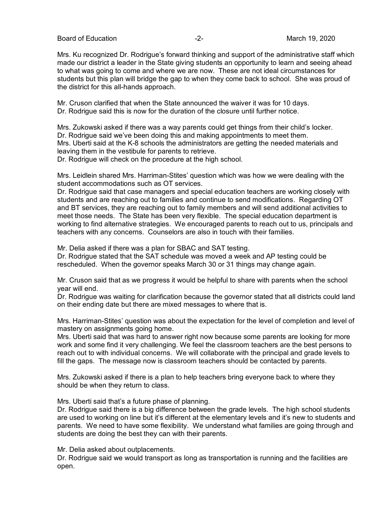Board of Education  $\overline{2}$ -<br>Board of Education  $\overline{2}$ -<br>All the set of the March 19, 2020

Mrs. Ku recognized Dr. Rodrigue's forward thinking and support of the administrative staff which made our district a leader in the State giving students an opportunity to learn and seeing ahead to what was going to come and where we are now. These are not ideal circumstances for students but this plan will bridge the gap to when they come back to school. She was proud of the district for this all-hands approach.

Mr. Cruson clarified that when the State announced the waiver it was for 10 days. Dr. Rodrigue said this is now for the duration of the closure until further notice.

Mrs. Zukowski asked if there was a way parents could get things from their child's locker. Dr. Rodrigue said we've been doing this and making appointments to meet them. Mrs. Uberti said at the K-8 schools the administrators are getting the needed materials and leaving them in the vestibule for parents to retrieve.

Dr. Rodrigue will check on the procedure at the high school.

Mrs. Leidlein shared Mrs. Harriman-Stites' question which was how we were dealing with the student accommodations such as OT services.

Dr. Rodrigue said that case managers and special education teachers are working closely with students and are reaching out to families and continue to send modifications. Regarding OT and BT services, they are reaching out to family members and will send additional activities to meet those needs. The State has been very flexible. The special education department is working to find alternative strategies. We encouraged parents to reach out to us, principals and teachers with any concerns. Counselors are also in touch with their families.

Mr. Delia asked if there was a plan for SBAC and SAT testing.

Dr. Rodrigue stated that the SAT schedule was moved a week and AP testing could be rescheduled. When the governor speaks March 30 or 31 things may change again.

Mr. Cruson said that as we progress it would be helpful to share with parents when the school year will end.

Dr. Rodrigue was waiting for clarification because the governor stated that all districts could land on their ending date but there are mixed messages to where that is.

Mrs. Harriman-Stites' question was about the expectation for the level of completion and level of mastery on assignments going home.

Mrs. Uberti said that was hard to answer right now because some parents are looking for more work and some find it very challenging. We feel the classroom teachers are the best persons to reach out to with individual concerns. We will collaborate with the principal and grade levels to fill the gaps. The message now is classroom teachers should be contacted by parents.

Mrs. Zukowski asked if there is a plan to help teachers bring everyone back to where they should be when they return to class.

Mrs. Uberti said that's a future phase of planning.

Dr. Rodrigue said there is a big difference between the grade levels. The high school students are used to working on line but it's different at the elementary levels and it's new to students and parents. We need to have some flexibility. We understand what families are going through and students are doing the best they can with their parents.

Mr. Delia asked about outplacements.

Dr. Rodrigue said we would transport as long as transportation is running and the facilities are open.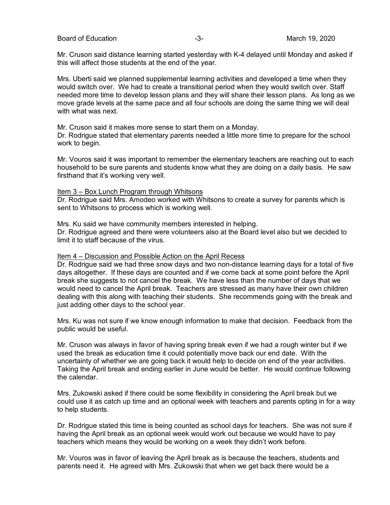Board of Education **-3-** All the state of Education of Education and the state of the state of the state of the state of the state of the state of the state of the state of the state of the state of the state of the state

Mr. Cruson said distance learning started yesterday with K-4 delayed until Monday and asked if this will affect those students at the end of the year.

Mrs. Uberti said we planned supplemental learning activities and developed a time when they would switch over. We had to create a transitional period when they would switch over. Staff needed more time to develop lesson plans and they will share their lesson plans. As long as we move grade levels at the same pace and all four schools are doing the same thing we will deal with what was next.

Mr. Cruson said it makes more sense to start them on a Monday.

Dr. Rodrigue stated that elementary parents needed a little more time to prepare for the school work to begin.

Mr. Vouros said it was important to remember the elementary teachers are reaching out to each household to be sure parents and students know what they are doing on a daily basis. He saw firsthand that it's working very well.

#### Item 3 – Box Lunch Program through Whitsons

Dr. Rodrigue said Mrs. Amodeo worked with Whitsons to create a survey for parents which is sent to Whitsons to process which is working well.

Mrs. Ku said we have community members interested in helping. Dr. Rodrigue agreed and there were volunteers also at the Board level also but we decided to limit it to staff because of the virus.

#### Item 4 – Discussion and Possible Action on the April Recess

Dr. Rodrigue said we had three snow days and two non-distance learning days for a total of five days altogether. If these days are counted and if we come back at some point before the April break she suggests to not cancel the break. We have less than the number of days that we would need to cancel the April break. Teachers are stressed as many have their own children dealing with this along with teaching their students. She recommends going with the break and just adding other days to the school year.

Mrs. Ku was not sure if we know enough information to make that decision. Feedback from the public would be useful.

Mr. Cruson was always in favor of having spring break even if we had a rough winter but if we used the break as education time it could potentially move back our end date. With the uncertainty of whether we are going back it would help to decide on end of the year activities. Taking the April break and ending earlier in June would be better. He would continue following the calendar.

Mrs. Zukowski asked if there could be some flexibility in considering the April break but we could use it as catch up time and an optional week with teachers and parents opting in for a way to help students.

Dr. Rodrigue stated this time is being counted as school days for teachers. She was not sure if having the April break as an optional week would work out because we would have to pay teachers which means they would be working on a week they didn't work before.

Mr. Vouros was in favor of leaving the April break as is because the teachers, students and parents need it. He agreed with Mrs. Zukowski that when we get back there would be a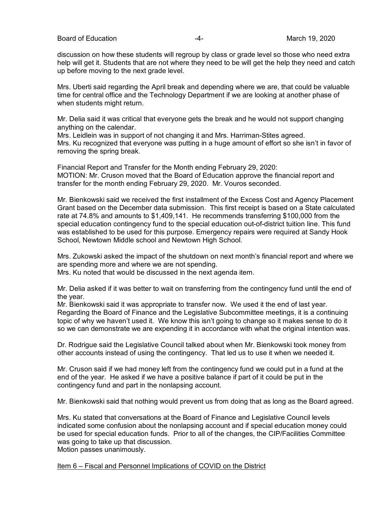discussion on how these students will regroup by class or grade level so those who need extra help will get it. Students that are not where they need to be will get the help they need and catch up before moving to the next grade level.

Mrs. Uberti said regarding the April break and depending where we are, that could be valuable time for central office and the Technology Department if we are looking at another phase of when students might return.

Mr. Delia said it was critical that everyone gets the break and he would not support changing anything on the calendar.

Mrs. Leidlein was in support of not changing it and Mrs. Harriman-Stites agreed. Mrs. Ku recognized that everyone was putting in a huge amount of effort so she isn't in favor of removing the spring break.

Financial Report and Transfer for the Month ending February 29, 2020: MOTION: Mr. Cruson moved that the Board of Education approve the financial report and transfer for the month ending February 29, 2020. Mr. Vouros seconded.

Mr. Bienkowski said we received the first installment of the Excess Cost and Agency Placement Grant based on the December data submission. This first receipt is based on a State calculated rate at 74.8% and amounts to \$1,409,141. He recommends transferring \$100,000 from the special education contingency fund to the special education out-of-district tuition line. This fund was established to be used for this purpose. Emergency repairs were required at Sandy Hook School, Newtown Middle school and Newtown High School.

Mrs. Zukowski asked the impact of the shutdown on next month's financial report and where we are spending more and where we are not spending.

Mrs. Ku noted that would be discussed in the next agenda item.

Mr. Delia asked if it was better to wait on transferring from the contingency fund until the end of the year.

Mr. Bienkowski said it was appropriate to transfer now. We used it the end of last year. Regarding the Board of Finance and the Legislative Subcommittee meetings, it is a continuing topic of why we haven't used it. We know this isn't going to change so it makes sense to do it so we can demonstrate we are expending it in accordance with what the original intention was.

Dr. Rodrigue said the Legislative Council talked about when Mr. Bienkowski took money from other accounts instead of using the contingency. That led us to use it when we needed it.

Mr. Cruson said if we had money left from the contingency fund we could put in a fund at the end of the year. He asked if we have a positive balance if part of it could be put in the contingency fund and part in the nonlapsing account.

Mr. Bienkowski said that nothing would prevent us from doing that as long as the Board agreed.

Mrs. Ku stated that conversations at the Board of Finance and Legislative Council levels indicated some confusion about the nonlapsing account and if special education money could be used for special education funds. Prior to all of the changes, the CIP/Facilities Committee was going to take up that discussion. Motion passes unanimously.

Item 6 – Fiscal and Personnel Implications of COVID on the District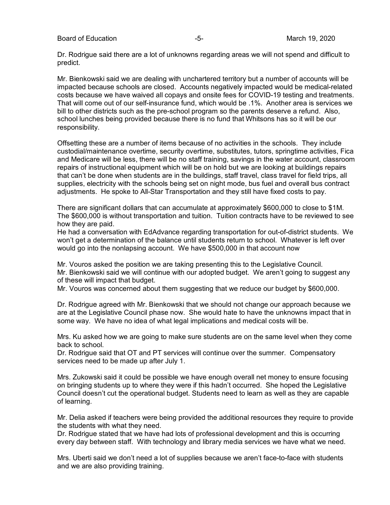Board of Education **-5-** Formulation **-5-** All the March 19, 2020

Dr. Rodrigue said there are a lot of unknowns regarding areas we will not spend and difficult to predict.

Mr. Bienkowski said we are dealing with unchartered territory but a number of accounts will be impacted because schools are closed. Accounts negatively impacted would be medical-related costs because we have waived all copays and onsite fees for COVID-19 testing and treatments. That will come out of our self-insurance fund, which would be .1%. Another area is services we bill to other districts such as the pre-school program so the parents deserve a refund. Also, school lunches being provided because there is no fund that Whitsons has so it will be our responsibility.

Offsetting these are a number of items because of no activities in the schools. They include custodial/maintenance overtime, security overtime, substitutes, tutors, springtime activities, Fica and Medicare will be less, there will be no staff training, savings in the water account, classroom repairs of instructional equipment which will be on hold but we are looking at buildings repairs that can't be done when students are in the buildings, staff travel, class travel for field trips, all supplies, electricity with the schools being set on night mode, bus fuel and overall bus contract adjustments. He spoke to All-Star Transportation and they still have fixed costs to pay.

There are significant dollars that can accumulate at approximately \$600,000 to close to \$1M. The \$600,000 is without transportation and tuition. Tuition contracts have to be reviewed to see how they are paid.

He had a conversation with EdAdvance regarding transportation for out-of-district students. We won't get a determination of the balance until students return to school. Whatever is left over would go into the nonlapsing account. We have \$500,000 in that account now

Mr. Vouros asked the position we are taking presenting this to the Legislative Council. Mr. Bienkowski said we will continue with our adopted budget. We aren't going to suggest any of these will impact that budget.

Mr. Vouros was concerned about them suggesting that we reduce our budget by \$600,000.

Dr. Rodrigue agreed with Mr. Bienkowski that we should not change our approach because we are at the Legislative Council phase now. She would hate to have the unknowns impact that in some way. We have no idea of what legal implications and medical costs will be.

Mrs. Ku asked how we are going to make sure students are on the same level when they come back to school.

Dr. Rodrigue said that OT and PT services will continue over the summer. Compensatory services need to be made up after July 1.

Mrs. Zukowski said it could be possible we have enough overall net money to ensure focusing on bringing students up to where they were if this hadn't occurred. She hoped the Legislative Council doesn't cut the operational budget. Students need to learn as well as they are capable of learning.

Mr. Delia asked if teachers were being provided the additional resources they require to provide the students with what they need.

Dr. Rodrigue stated that we have had lots of professional development and this is occurring every day between staff. With technology and library media services we have what we need.

Mrs. Uberti said we don't need a lot of supplies because we aren't face-to-face with students and we are also providing training.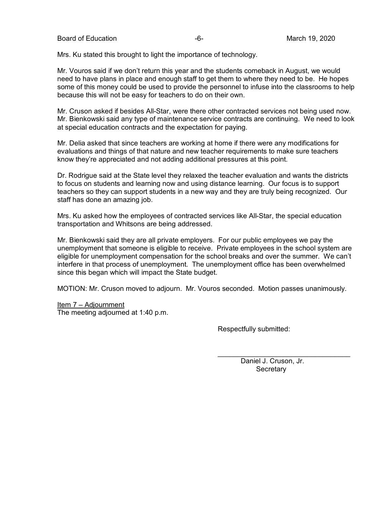Board of Education  $-6 -6-$  March 19, 2020

Mrs. Ku stated this brought to light the importance of technology.

Mr. Vouros said if we don't return this year and the students comeback in August, we would need to have plans in place and enough staff to get them to where they need to be. He hopes some of this money could be used to provide the personnel to infuse into the classrooms to help because this will not be easy for teachers to do on their own.

Mr. Cruson asked if besides All-Star, were there other contracted services not being used now. Mr. Bienkowski said any type of maintenance service contracts are continuing. We need to look at special education contracts and the expectation for paying.

Mr. Delia asked that since teachers are working at home if there were any modifications for evaluations and things of that nature and new teacher requirements to make sure teachers know they're appreciated and not adding additional pressures at this point.

Dr. Rodrigue said at the State level they relaxed the teacher evaluation and wants the districts to focus on students and learning now and using distance learning. Our focus is to support teachers so they can support students in a new way and they are truly being recognized. Our staff has done an amazing job.

Mrs. Ku asked how the employees of contracted services like All-Star, the special education transportation and Whitsons are being addressed.

Mr. Bienkowski said they are all private employers. For our public employees we pay the unemployment that someone is eligible to receive. Private employees in the school system are eligible for unemployment compensation for the school breaks and over the summer. We can't interfere in that process of unemployment. The unemployment office has been overwhelmed since this began which will impact the State budget.

MOTION: Mr. Cruson moved to adjourn. Mr. Vouros seconded. Motion passes unanimously.

Item 7 – Adjournment The meeting adjourned at 1:40 p.m.

Respectfully submitted:

Daniel J. Cruson, Jr. **Secretary** 

\_\_\_\_\_\_\_\_\_\_\_\_\_\_\_\_\_\_\_\_\_\_\_\_\_\_\_\_\_\_\_\_\_\_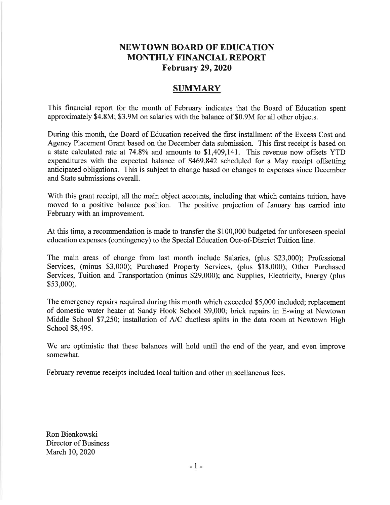## **NEWTOWN BOARD OF EDUCATION MONTHLY FINANCIAL REPORT February 29, 2020**

### **SUMMARY**

This financial report for the month of February indicates that the Board of Education spent approximately \$4.8M; \$3.9M on salaries with the balance of \$0.9M for all other objects.

During this month, the Board of Education received the first installment of the Excess Cost and Agency Placement Grant based on the December data submission. This first receipt is based on a state calculated rate at 74.8% and amounts to \$1,409,141. This revenue now offsets YTD expenditures with the expected balance of \$469,842 scheduled for a May receipt offsetting anticipated obligations. This is subject to change based on changes to expenses since December and State submissions overall.

With this grant receipt, all the main object accounts, including that which contains tuition, have moved to a positive balance position. The positive projection of January has carried into February with an improvement.

At this time, a recommendation is made to transfer the \$100,000 budgeted for unforeseen special education expenses (contingency) to the Special Education Out-of-District Tuition line.

The main areas of change from last month include Salaries, (plus \$23,000); Professional Services, (minus \$3,000); Purchased Property Services, (plus \$18,000); Other Purchased Services, Tuition and Transportation (minus \$29,000); and Supplies, Electricity, Energy (plus  $$53,000$ ).

The emergency repairs required during this month which exceeded \$5,000 included; replacement of domestic water heater at Sandy Hook School \$9,000; brick repairs in E-wing at Newtown Middle School \$7,250; installation of A/C ductless splits in the data room at Newtown High School \$8,495.

We are optimistic that these balances will hold until the end of the year, and even improve somewhat.

February revenue receipts included local tuition and other miscellaneous fees.

Ron Bienkowski Director of Business March 10, 2020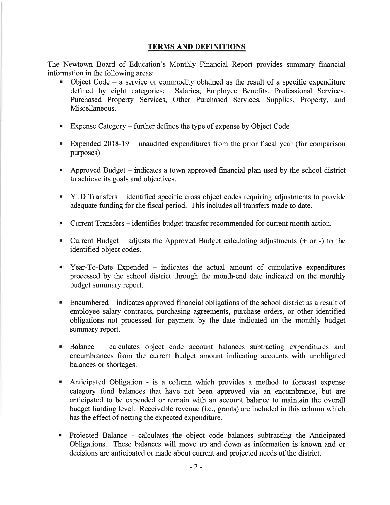### **TERMS AND DEFINITIONS**

The Newtown Board of Education's Monthly Financial Report provides summary financial information in the following areas:

- Object Code a service or commodity obtained as the result of a specific expenditure defined by eight categories: Salaries, Employee Benefits, Professional Services, Purchased Property Services, Other Purchased Services, Supplies, Property, and Miscellaneous.
- **Expense Category further defines the type of expense by Object Code**
- Expended  $2018-19$  unaudited expenditures from the prior fiscal year (for comparison purposes)
- Approved Budget indicates a town approved financial plan used by the school district to achieve its goals and objectives.
- " YTD Transfers identified specific cross object codes requiring adjustments to provide adequate funding for the fiscal period. This includes all transfers made to date.
- Current Transfers identifies budget transfer recommended for current month action.
- Current Budget adjusts the Approved Budget calculating adjustments  $(+)$  or  $-)$  to the identified object codes.
- Year-To-Date Expended indicates the actual amount of cumulative expenditures processed by the school district through the month-end date indicated on the monthly budget summary report.
- $\blacksquare$  Encumbered indicates approved financial obligations of the school district as a result of employee salary contracts, purchasing agreements, purchase orders, or other identified obligations not processed for payment by the date indicated on the monthly budget summary report.
- Balance calculates object code account balances subtracting expenditures and encumbrances from the current budget amount indicating accounts with unobligated balances or shortages.
- Anticipated Obligation is a column which provides a method to forecast expense category fund balances that have not been approved via an encumbrance, but are anticipated to be expended or remain with an account balance to maintain the overall budget funding level. Receivable revenue (i.e., grants) are included in this column which has the effect of netting the expected expenditure.
- Projected Balance calculates the object code balances subtracting the Anticipated Obligations. These balances will move up and down as information is known and or decisions are anticipated or made about current and projected needs of the district.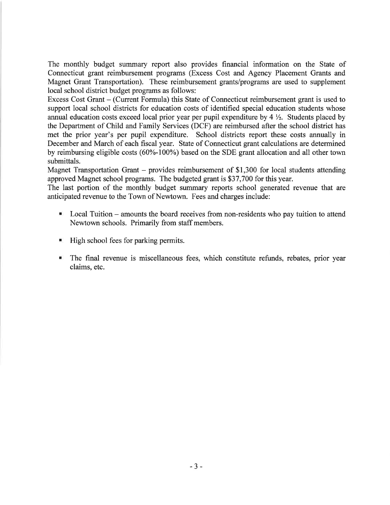The monthly budget summary report also provides financial information on the State of Connecticut grant reimbursement programs (Excess Cost and Agency Placement Grants and Magnet Grant Transportation). These reimbursement grants/programs are used to supplement local school district budget programs as follows:

Excess Cost Grant – (Current Formula) this State of Connecticut reimbursement grant is used to support local school districts for education costs of identified special education students whose annual education costs exceed local prior year per pupil expenditure by  $4\frac{1}{2}$ . Students placed by the Department of Child and Family Services (DCF) are reimbursed after the school district has met the prior year's per pupil expenditure. School districts report these costs annually in December and March of each fiscal year. State of Connecticut grant calculations are determined by reimbursing eligible costs (60%-100%) based on the SDE grant allocation and all other town submittals.

Magnet Transportation Grant – provides reimbursement of \$1,300 for local students attending approved Magnet school programs. The budgeted grant is \$37,700 for this year.

The last portion of the monthly budget summary reports school generated revenue that are anticipated revenue to the Town of Newtown. Fees and charges include:

- Local Tuition amounts the board receives from non-residents who pay tuition to attend Newtown schools. Primarily from staff members.
- $\blacksquare$  High school fees for parking permits.
- The final revenue is miscellaneous fees, which constitute refunds, rebates, prior year claims, etc.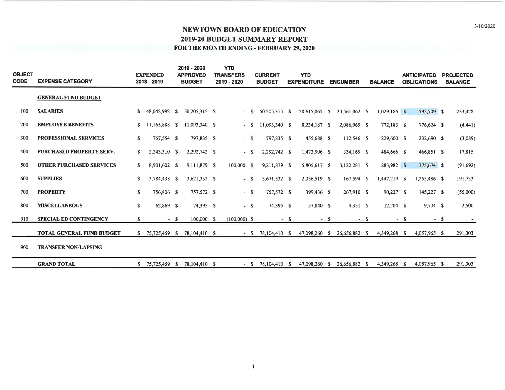| <b>OBJECT</b><br><b>CODE</b> | <b>EXPENSE CATEGORY</b>          |             | <b>EXPENDED</b><br>2018 - 2019 |       | 2019 - 2020<br><b>APPROVED</b><br><b>BUDGET</b> | <b>YTD</b><br><b>TRANSFERS</b><br>2019 - 2020 |    | <b>CURRENT</b><br><b>BUDGET</b> |        | <b>YTD</b><br><b>EXPENDITURE</b> |      | <b>ENCUMBER</b>             |      | <b>BALANCE</b> |      | <b>ANTICIPATED</b><br><b>OBLIGATIONS</b> | <b>PROJECTED</b><br><b>BALANCE</b> |
|------------------------------|----------------------------------|-------------|--------------------------------|-------|-------------------------------------------------|-----------------------------------------------|----|---------------------------------|--------|----------------------------------|------|-----------------------------|------|----------------|------|------------------------------------------|------------------------------------|
|                              | <b>GENERAL FUND BUDGET</b>       |             |                                |       |                                                 |                                               |    |                                 |        |                                  |      |                             |      |                |      |                                          |                                    |
| 100                          | <b>SALARIES</b>                  | S.          | 48,042,992 \$                  |       | 50,205,315 \$                                   | ÷.                                            | -S | 50,205,315 \$                   |        | 28,615,067 \$                    |      | 20,561,062 \$               |      | $1,029,186$ \$ |      | 795,709 \$                               | 233,478                            |
| 200                          | <b>EMPLOYEE BENEFITS</b>         | S.          | 11,165,888 \$                  |       | 11,093,340 \$                                   | ×.                                            | -S | 11,093,340 \$                   |        | 8,234,187 \$                     |      | 2,086,969 \$                |      | 772,183 \$     |      | 776,624 \$                               | (4,441)                            |
| 300                          | <b>PROFESSIONAL SERVICES</b>     | S           | 767,554 \$                     |       | 797,835 \$                                      | $-5$                                          |    | 797,835 \$                      |        | 455,688 \$                       |      | 112,546 \$                  |      | 229,600 \$     |      | 232,690 \$                               | (3,089)                            |
| 400                          | <b>PURCHASED PROPERTY SERV.</b>  | \$          | 2,243,310 \$                   |       | 2,292,742 \$                                    | ÷.                                            | -S | 2,292,742 \$                    |        | 1,473,906 \$                     |      | 334,169 \$                  |      | 484,666 \$     |      | 466,851 \$                               | 17,815                             |
| 500                          | <b>OTHER PURCHASED SERVICES</b>  | S           | 8,901,602 \$                   |       | 9,111,879 \$                                    | $100,000$ S                                   |    | 9,211,879 \$                    |        | 5,805,617 \$                     |      | 3,122,281 \$                |      | 283,982 \$     |      | 375,674 \$                               | (91,692)                           |
| 600                          | <b>SUPPLIES</b>                  | $\mathbf S$ | 3,784,438 \$                   |       | 3,671,332 \$                                    | ÷                                             | S  | 3,671,332 \$                    |        | 2,056,519 \$                     |      | 167,594 \$                  |      | 1,447,219 \$   |      | 1,255,486 \$                             | 191,733                            |
| 700                          | <b>PROPERTY</b>                  | S           | 756,806 \$                     |       | 757,572 \$                                      | $-$ S                                         |    | 757,572 \$                      |        | 399,436 \$                       |      | 267,910 \$                  |      | 90,227 \$      |      | 145,227 \$                               | (55,000)                           |
| 800                          | <b>MISCELLANEOUS</b>             | \$          | 62,869 \$                      |       | 74,395 \$                                       | - S                                           |    | 74,395 \$                       |        | 57,840 \$                        |      | 4,351 S                     |      | $12,204$ \$    |      | $9,704$ \$                               | 2,500                              |
| 910                          | <b>SPECIAL ED CONTINGENCY</b>    | S.          |                                | $- S$ | $100,000$ \$                                    | $(100,000)$ S                                 |    |                                 | $-$ \$ |                                  | $-S$ |                             | $-5$ |                | $-5$ | $- S$                                    |                                    |
|                              | <b>TOTAL GENERAL FUND BUDGET</b> |             | $$75,725,459$ \$               |       | 78,104,410 \$                                   |                                               |    | $-$ \$ 78,104,410 \$            |        |                                  |      | 47,098,260 \$ 26,656,882 \$ |      | 4,349,268 \$   |      | 4,057,965 S                              | 291,303                            |
| 900                          | <b>TRANSFER NON-LAPSING</b>      |             |                                |       |                                                 |                                               |    |                                 |        |                                  |      |                             |      |                |      |                                          |                                    |
|                              | <b>GRAND TOTAL</b>               | S.          | 75,725,459 \$                  |       | 78,104,410 \$                                   | $-$ S                                         |    | 78,104,410 \$                   |        | 47,098,260                       | - S  | 26,656,882 \$               |      | 4,349,268      | - S  | 4,057,965 \$                             | 291,303                            |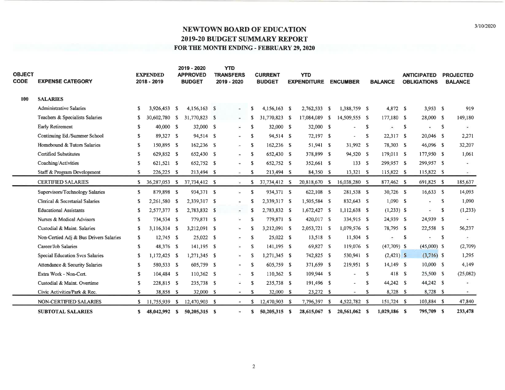| <b>OBJECT</b><br><b>CODE</b> | <b>EXPENSE CATEGORY</b>                |    | <b>EXPENDED</b><br>2018 - 2019 | 2019 - 2020<br><b>APPROVED</b><br><b>BUDGET</b> | <b>YTD</b><br><b>TRANSFERS</b><br>2019 - 2020 |              | <b>CURRENT</b><br><b>BUDGET</b> | <b>YTD</b><br><b>EXPENDITURE</b> | <b>ENCUMBER</b> |              | <b>BALANCE</b>           |    | <b>ANTICIPATED</b><br><b>OBLIGATIONS</b> |    | <b>PROJECTED</b><br><b>BALANCE</b> |
|------------------------------|----------------------------------------|----|--------------------------------|-------------------------------------------------|-----------------------------------------------|--------------|---------------------------------|----------------------------------|-----------------|--------------|--------------------------|----|------------------------------------------|----|------------------------------------|
| 100                          | <b>SALARIES</b>                        |    |                                |                                                 |                                               |              |                                 |                                  |                 |              |                          |    |                                          |    |                                    |
|                              | <b>Administrative Salaries</b>         | S. | 3,926,453 \$                   | $4,156,163$ \$                                  | ٠                                             | S            | 4,156,163 \$                    | 2,762,533 \$                     | 1,388,759 \$    |              | 4,872 \$                 |    | $3,953$ \$                               |    | 919                                |
|                              | Teachers & Specialists Salaries        | S  | 30,602,780 \$                  | 31,770,823 S                                    | $\overline{\phantom{a}}$                      | S            | 31,770,823 \$                   | 17,084,089 \$                    | 14,509,555 S    |              | 177,180 \$               |    | 28,000 \$                                |    | 149,180                            |
|                              | Early Retirement                       | S  | 40,000 \$                      | 32,000 \$                                       | $\overline{\phantom{a}}$                      | $\mathbf{s}$ | 32,000 \$                       | 32,000 \$                        | $\sim$          | S.           | $\overline{\phantom{a}}$ | -S | $\ddot{}$                                | S  | ٠                                  |
|                              | Continuing Ed./Summer School           | S. | 89,327 \$                      | 94,514 \$                                       | ÷.                                            | S            | 94,514 \$                       | $72,197$ \$                      |                 | <sup>S</sup> | $22,317$ \$              |    | 20,046 \$                                |    | 2,271                              |
|                              | Homebound & Tutors Salaries            | S. | 150,895 \$                     | 162,236 \$                                      | $\overline{\phantom{a}}$                      | S            | 162,236 \$                      | 51,941 \$                        | 31,992 \$       |              | 78,303 \$                |    | 46,096 \$                                |    | 32,207                             |
|                              | <b>Certified Substitutes</b>           | S  | 629,852 \$                     | 652,430 \$                                      | $\overline{\phantom{a}}$                      | S            | 652,430 \$                      | 378,899 \$                       | 94,520 \$       |              | 179,011 \$               |    | 177,950 \$                               |    | 1,061                              |
|                              | Coaching/Activities                    | S  | 621,521 \$                     | 652,752 \$                                      | i.                                            | \$           | 652,752 \$                      | 352,661 \$                       | 133 S           |              | 299,957 \$               |    | 299,957 S                                |    | $\sim$                             |
|                              | Staff & Program Development            | S  | 226,225 \$                     | 213,494 \$                                      | ÷                                             | \$           | 213,494 S                       | 84,350 \$                        | $13,321$ \$     |              | 115,822 \$               |    | 115,822 \$                               |    | $\sim$ .                           |
|                              | <b>CERTIFIED SALARIES</b>              | S. | 36,287,053 \$                  | 37,734,412 \$                                   | $\sim$                                        | \$           | 37,734,412 S                    | 20,818,670 \$                    | 16,038,280 \$   |              | 877,462 \$               |    | 691,825 \$                               |    | 185,637                            |
|                              | Supervisors/Technology Salaries        | S  | 879,898 \$                     | 934,371 \$                                      | $\overline{\phantom{a}}$                      | S            | 934,371 S                       | 622,108 \$                       | 281,538 \$      |              | 30,726 \$                |    | $16,633$ S                               |    | 14,093                             |
|                              | Clerical & Secretarial Salaries        | S  | 2,261,580 \$                   | 2,339,317 \$                                    | $\overline{\phantom{a}}$                      | S            | 2,339,317 \$                    | 1,505,584 \$                     | 832,643 \$      |              | $1,090$ \$               |    | $\sim$                                   | S  | 1,090                              |
|                              | <b>Educational Assistants</b>          | \$ | 2,577,377 \$                   | 2,783,832 \$                                    | $\tilde{\mathcal{L}}$                         | S            | 2,783,832 S                     | $1,672,427$ \$                   | 1,112,638 \$    |              | $(1,233)$ \$             |    | ۰                                        | S  | (1,233)                            |
|                              | Nurses & Medical Advisors              | S  | 734,534 \$                     | 779,871 \$                                      | $\sim$                                        | S            | 779,871 \$                      | 420,017 \$                       | 334,915 \$      |              | 24,939 S                 |    | 24,939 \$                                |    |                                    |
|                              | Custodial & Maint. Salaries            | S  | 3,116,314 \$                   | 3,212,091 \$                                    | ٠                                             | S            | 3,212,091 \$                    | 2,053,721 \$                     | 1,079,576 \$    |              | 78,795 \$                |    | 22,558 \$                                |    | 56,237                             |
|                              | Non-Certied Adj & Bus Drivers Salaries | S  | $12,745$ \$                    | $25,022$ \$                                     | ÷.                                            | S            | $25,022$ \$                     | 13,518 S                         | $11,504$ \$     |              | $\overline{\phantom{a}}$ | -S |                                          | -S |                                    |
|                              | Career/Job Salaries                    | S  | 48,376 \$                      | $141,195$ \$                                    | Ξ                                             | S            | 141.195 \$                      | 69,827 S                         | 119,076 \$      |              | $(47,709)$ \$            |    | $(45,000)$ S                             |    | (2,709)                            |
|                              | Special Education Svcs Salaries        | \$ | 1,172,425 \$                   | $1,271,345$ \$                                  | $\sim$                                        | S            | 1,271,345 \$                    | 742,825 \$                       | 530,941 \$      |              | $(2,421)$ \$             |    | $(3,716)$ \$                             |    | 1,295                              |
|                              | Attendance & Security Salaries         | S  | 580,533 \$                     | 605,759 \$                                      | ٠                                             | S            | 605,759 \$                      | 371,659 \$                       | 219,951 \$      |              | $14,149$ S               |    | 10,000 S                                 |    | 4,149                              |
|                              | Extra Work - Non-Cert.                 | S  | 104,484 S                      | 110,362 \$                                      | ۰                                             | S            | 110,362 \$                      | 109,944 \$                       | $\blacksquare$  | S            | 418 S                    |    | 25,500 S                                 |    | (25,082)                           |
|                              | Custodial & Maint. Overtime            | S  | 228,815 \$                     | 235,738 \$                                      | u.                                            | S            | 235,738 \$                      | 191,496 \$                       |                 | S            | 44,242 S                 |    | 44,242 \$                                |    |                                    |
|                              | Civic Activities/Park & Rec.           | S. | 38,858 \$                      | 32,000 S                                        | ×                                             | S            | 32,000 \$                       | 23,272 \$                        | $\sim$          | -S           | 8,728 \$                 |    | 8,728 \$                                 |    |                                    |
|                              | NON-CERTIFIED SALARIES                 | S. | 11,755,939 \$                  | 12,470,903 \$                                   | ×.                                            |              | 12,470,903 \$                   | 7,796,397 \$                     | 4,522,782 \$    |              | 151,724 \$               |    | 103,884 \$                               |    | 47,840                             |
|                              | <b>SUBTOTAL SALARIES</b>               | S. | 48,042,992 S                   | 50,205,315 \$                                   | ×.                                            | s            | 50,205,315 \$                   | 28,615,067 \$                    | 20,561,062 \$   |              | 1,029,186 \$             |    | 795,709 S                                |    | 233,478                            |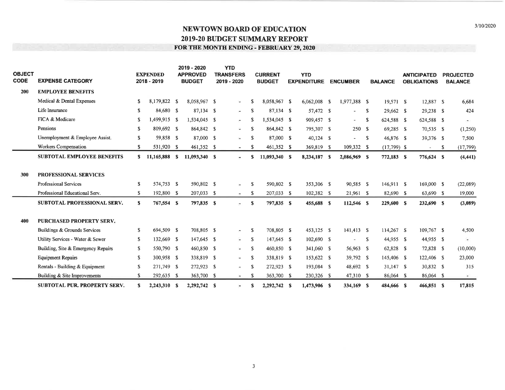| <b>OBJECT</b><br><b>CODE</b> | <b>EXPENSE CATEGORY</b>             |    | <b>EXPENDED</b><br>2018 - 2019 | 2019 - 2020<br><b>APPROVED</b><br><b>BUDGET</b> | <b>YTD</b><br><b>TRANSFERS</b><br>2019 - 2020 |    | <b>CURRENT</b><br><b>BUDGET</b> | <b>YTD</b><br><b>EXPENDITURE</b> | <b>ENCUMBER</b>          |    | <b>BALANCE</b> | <b>ANTICIPATED</b><br><b>OBLIGATIONS</b> | <b>PROJECTED</b><br><b>BALANCE</b> |
|------------------------------|-------------------------------------|----|--------------------------------|-------------------------------------------------|-----------------------------------------------|----|---------------------------------|----------------------------------|--------------------------|----|----------------|------------------------------------------|------------------------------------|
| 200                          | <b>EMPLOYEE BENEFITS</b>            |    |                                |                                                 |                                               |    |                                 |                                  |                          |    |                |                                          |                                    |
|                              | Medical & Dental Expenses           | S  | 8,179,822 \$                   | 8,058,967 \$                                    | $\tilde{\phantom{a}}$                         | S  | 8,058,967 \$                    | 6,062,008 \$                     | 1,977,388 \$             |    | $19,571$ \$    | 12,887 \$                                | 6,684                              |
|                              | Life Insurance                      | S  | 84,680 \$                      | $87,134$ \$                                     | ÷                                             | S  | 87,134 \$                       | 57,472 S                         | $\overline{\phantom{a}}$ | s. | $29,662$ \$    | 29,238 \$                                | 424                                |
|                              | FICA & Medicare                     | S  | 1,499,915 \$                   | 1,534,045 \$                                    | ÷                                             | S  | 1,534,045 \$                    | 909,457 \$                       | $\sim$                   | S  | 624,588 \$     | 624,588 \$                               | æ.                                 |
|                              | Pensions                            | S  | 809,692 \$                     | 864,842 \$                                      | ç                                             | s  | 864,842 \$                      | 795,307 \$                       | 250S                     |    | 69,285 \$      | 70,535 \$                                | (1,250)                            |
|                              | Unemployment & Employee Assist.     | S. | 59,858 \$                      | 87,000 \$                                       | $\overline{\phantom{a}}$                      | S  | 87,000 \$                       | $40,124$ S                       | $\overline{\phantom{a}}$ | -S | 46,876 \$      | 39,376 \$                                | 7,500                              |
|                              | Workers Compensation                | S  | 531,920 \$                     | 461,352 \$                                      |                                               | S  | 461,352 \$                      | 369,819 \$                       | 109,332 \$               |    | $(17,799)$ \$  | $-$ \$                                   | (17, 799)                          |
|                              | <b>SUBTOTAL EMPLOYEE BENEFITS</b>   |    | $$11,165,888$ \$               | 11,093,340 S                                    | $\bullet$                                     | S. | 11,093,340 \$                   | 8,234,187 \$                     | 2,086,969 S              |    | 772,183 \$     | 776,624 \$                               | (4, 441)                           |
|                              |                                     |    |                                |                                                 |                                               |    |                                 |                                  |                          |    |                |                                          |                                    |
| 300                          | PROFESSIONAL SERVICES               |    |                                |                                                 |                                               |    |                                 |                                  |                          |    |                |                                          |                                    |
|                              | Professional Services               | S  | 574,753 \$                     | 590,802 \$                                      | $\overline{\phantom{a}}$                      | S  | 590,802 \$                      | 353,306 S                        | 90,585 \$                |    | 146,911 \$     | 169,000 \$                               | (22,089)                           |
|                              | Professional Educational Serv.      | S. | 192,800 \$                     | 207,033 \$                                      | $\sim$                                        | S  | 207,033 \$                      | 102,382 \$                       | $21,961$ \$              |    | 82,690 \$      | 63,690 \$                                | 19,000                             |
|                              | SUBTOTAL PROFESSIONAL SERV.         | S  | 767,554 \$                     | 797,835 \$                                      | ÷                                             | S  | 797,835 \$                      | 455,688 \$                       | 112,546 \$               |    | 229,600 \$     | 232,690 \$                               | (3,089)                            |
|                              |                                     |    |                                |                                                 |                                               |    |                                 |                                  |                          |    |                |                                          |                                    |
| 400                          | <b>PURCHASED PROPERTY SERV.</b>     |    |                                |                                                 |                                               |    |                                 |                                  |                          |    |                |                                          |                                    |
|                              | Buildings & Grounds Services        | S. | 694,509 \$                     | 708,805 \$                                      | ۰                                             | S  | 708,805 \$                      | 453,125 \$                       | 141,413 S                |    | $114,267$ S    | 109,767 \$                               | 4,500                              |
|                              | Utility Services - Water & Sewer    | S. | 132,669 \$                     | 147,645 \$                                      | ÷                                             | S  | 147.645 \$                      | $102,690$ \$                     |                          | -S | 44,955 \$      | 44,955 \$                                | $\bullet$ .                        |
|                              | Building, Site & Emergency Repairs  | S  | 550,790 \$                     | 460,850 \$                                      | $\overline{\phantom{a}}$                      | S  | 460,850 \$                      | 341,060 \$                       | 56,963 \$                |    | 62,828 \$      | 72,828 \$                                | (10,000)                           |
|                              | <b>Equipment Repairs</b>            | S  | 300,958 \$                     | 338,819 \$                                      | $\overline{\phantom{a}}$                      | S  | 338,819 \$                      | 153,622 \$                       | 39.792 S                 |    | 145,406 \$     | 122,406 \$                               | 23,000                             |
|                              | Rentals - Building & Equipment      | S  | 271,749 \$                     | 272,923 \$                                      | ۰                                             | S  | 272,923 \$                      | 193,084 S                        | 48,692 \$                |    | $31,147$ \$    | 30,832 \$                                | 315                                |
|                              | Building & Site Improvements        | \$ | 292,635 \$                     | 363,700 \$                                      | $\sim$                                        | S  | 363,700 \$                      | 230,326 \$                       | 47,310 \$                |    | 86,064 \$      | 86,064 \$                                | $\sim$                             |
|                              | <b>SUBTOTAL PUR, PROPERTY SERV.</b> | S. | 2,243,310 \$                   | 2,292,742 \$                                    | $\overline{\phantom{a}}$                      | \$ | 2,292,742 \$                    | 1,473,906 \$                     | 334,169 \$               |    | 484,666 \$     | 466,851 \$                               | 17,815                             |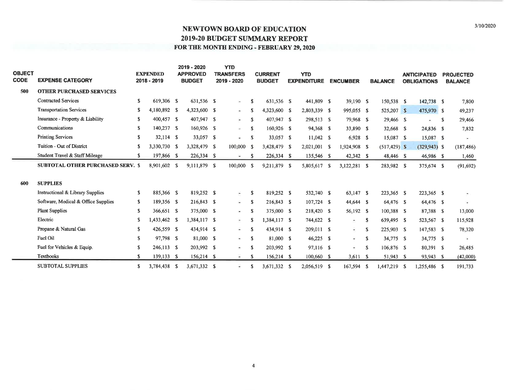| <b>OBJECT</b><br><b>CODE</b> | <b>EXPENSE CATEGORY</b>                     |     | <b>EXPENDED</b><br>2018 - 2019 | 2019 - 2020<br><b>APPROVED</b><br><b>BUDGET</b> | <b>YTD</b><br><b>TRANSFERS</b><br>2019 - 2020 |    | <b>CURRENT</b><br><b>BUDGET</b> | <b>YTD</b><br><b>EXPENDITURE</b> |  | <b>ENCUMBER</b>          |              |                 |                          |    |            | <b>BALANCE</b> | <b>ANTICIPATED</b><br><b>OBLIGATIONS</b> |  | <b>PROJECTED</b><br><b>BALANCE</b> |
|------------------------------|---------------------------------------------|-----|--------------------------------|-------------------------------------------------|-----------------------------------------------|----|---------------------------------|----------------------------------|--|--------------------------|--------------|-----------------|--------------------------|----|------------|----------------|------------------------------------------|--|------------------------------------|
| 500                          | <b>OTHER PURCHASED SERVICES</b>             |     |                                |                                                 |                                               |    |                                 |                                  |  |                          |              |                 |                          |    |            |                |                                          |  |                                    |
|                              | <b>Contracted Services</b>                  | S   | 619,306 \$                     | 631,536 \$                                      | ÷.                                            | s  | 631,536 \$                      | 441,809 \$                       |  | $39,190$ \$              |              | 150,538 \$      | 142,738 \$               |    | 7,800      |                |                                          |  |                                    |
|                              | <b>Transportation Services</b>              | S   | 4,180,892 \$                   | 4,323,600 \$                                    | it.                                           | s  | 4,323,600 \$                    | 2,803,339 \$                     |  | 995,055 \$               |              | 525,207 \$      | 475,970 \$               |    | 49,237     |                |                                          |  |                                    |
|                              | Insurance - Property & Liability            | S   | 400,457 \$                     | 407,947 \$                                      | $\overline{\phantom{a}}$                      | S  | 407.947 \$                      | 298,513 \$                       |  | 79,968 \$                |              | 29,466 \$       | $\overline{\phantom{a}}$ | -S | 29,466     |                |                                          |  |                                    |
|                              | Communications                              | S   | 140,237 \$                     | 160,926 \$                                      | ÷.                                            | s  | 160,926 \$                      | 94,368 \$                        |  | 33,890 \$                |              | 32,668 S        | 24,836 \$                |    | 7,832      |                |                                          |  |                                    |
|                              | <b>Printing Services</b>                    | S   | $32,114$ \$                    | 33,057 \$                                       | $\star$                                       | S  | 33,057 \$                       | $11,042$ \$                      |  | $6,928$ \$               |              | 15,087 \$       | 15,087 \$                |    |            |                |                                          |  |                                    |
|                              | Tuition - Out of District                   | S   | 3,330,730 \$                   | 3,328,479 \$                                    | 100,000                                       | -S | 3,428,479 \$                    | $2,021,001$ \$                   |  | 1,924,908 \$             |              | $(517, 429)$ \$ | $(329, 943)$ \$          |    | (187, 486) |                |                                          |  |                                    |
|                              | Student Travel & Staff Mileage              | \$. | 197,866 \$                     | 226,334 \$                                      | $\overline{\phantom{a}}$                      | s  | 226,334 \$                      | 135,546 S                        |  | 42,342 \$                |              | 48,446 \$       | 46,986 \$                |    | 1,460      |                |                                          |  |                                    |
|                              | <b>SUBTOTAL OTHER PURCHASED SERV. \$</b>    |     | 8,901,602 \$                   | 9,111,879 \$                                    | 100,000 \$                                    |    | 9,211,879 \$                    | 5,805,617 S                      |  | 3,122,281 \$             |              | 283,982 \$      | 375,674 \$               |    | (91, 692)  |                |                                          |  |                                    |
| 600                          | <b>SUPPLIES</b>                             |     |                                |                                                 |                                               |    |                                 |                                  |  |                          |              |                 |                          |    |            |                |                                          |  |                                    |
|                              | <b>Instructional &amp; Library Supplies</b> | S   | 885,366 \$                     | 819,252 \$                                      | $\overline{\phantom{a}}$                      | \$ | 819,252 \$                      | 532,740 \$                       |  | 63,147 \$                |              | 223,365 \$      | 223,365 \$               |    | ÷.         |                |                                          |  |                                    |
|                              | Software, Medical & Office Supplies         | S.  | 189,356 \$                     | 216,843 \$                                      | $\frac{1}{2}$                                 | -S | 216,843 \$                      | $107,724$ \$                     |  | 44,644 \$                |              | 64,476 \$       | 64,476 \$                |    | $\sim$     |                |                                          |  |                                    |
|                              | <b>Plant Supplies</b>                       | S   | 366,651 \$                     | 375,000 \$                                      | $\overline{\phantom{a}}$                      | S  | 375,000 \$                      | 218,420 \$                       |  | 56,192 \$                |              | $100,388$ \$    | 87,388 \$                |    | 13,000     |                |                                          |  |                                    |
|                              | Electric                                    | S   | 1,433,462 \$                   | 1,384,117 \$                                    | $\overline{\phantom{a}}$                      | S  | 1,384,117 \$                    | 744,622 \$                       |  | ÷                        | S            | 639,495 \$      | 523,567 \$               |    | 115,928    |                |                                          |  |                                    |
|                              | Propane & Natural Gas                       | S   | 426,559 \$                     | 434,914 \$                                      | ÷.                                            | S  | 434,914 \$                      | 209,011 \$                       |  | ÷                        | S.           | 225,903 \$      | 147,583 \$               |    | 78,320     |                |                                          |  |                                    |
|                              | Fuel Oil                                    | S   | 97,798 \$                      | 81,000 \$                                       | $\blacksquare$                                | S  | 81,000 \$                       | 46,225 \$                        |  | $\overline{\phantom{a}}$ | S            | 34,775 S        | 34,775 \$                |    | $\sim$     |                |                                          |  |                                    |
|                              | Fuel for Vehicles & Equip.                  | S   | $246,113$ \$                   | 203,992 \$                                      | $\overline{\phantom{a}}$                      | S  | 203,992 \$                      | 97,116 \$                        |  | $\sim$                   | <sup>S</sup> | 106,876 S       | 80,391 \$                |    | 26,485     |                |                                          |  |                                    |
|                              | <b>Textbooks</b>                            | S   | $139,133$ \$                   | 156,214 \$                                      | $\hat{\phantom{a}}$                           | S  | 156,214 \$                      | $100,660$ \$                     |  | 3,611S                   |              | 51,943 \$       | 93,943 S                 |    | (42,000)   |                |                                          |  |                                    |
|                              | <b>SUBTOTAL SUPPLIES</b>                    | S   | 3,784,438 \$                   | 3,671,332 \$                                    | $\overline{\phantom{a}}$                      | S  | 3,671,332 \$                    | 2,056,519 \$                     |  | 167,594 S                |              | 1,447,219 \$    | 1,255,486 \$             |    | 191,733    |                |                                          |  |                                    |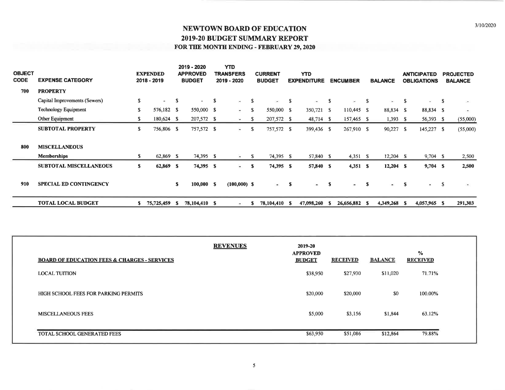| <b>OBJECT</b><br><b>CODE</b> | <b>EXPENSE CATEGORY</b>                    |    | <b>EXPENDED</b><br>2018 - 2019 |     | 2019 - 2020<br><b>APPROVED</b><br><b>BUDGET</b> |    | <b>YTD</b><br><b>TRANSFERS</b><br>2019 - 2020 |    | <b>CURRENT</b><br><b>BUDGET</b> |     | <b>YTD</b><br><b>EXPENDITURE</b> |      | <b>ENCUMBER</b> |          | <b>BALANCE</b> |     | <b>ANTICIPATED</b><br><b>OBLIGATIONS</b> |   | <b>PROJECTED</b><br><b>BALANCE</b> |
|------------------------------|--------------------------------------------|----|--------------------------------|-----|-------------------------------------------------|----|-----------------------------------------------|----|---------------------------------|-----|----------------------------------|------|-----------------|----------|----------------|-----|------------------------------------------|---|------------------------------------|
| 700                          | <b>PROPERTY</b>                            |    |                                |     |                                                 |    |                                               |    |                                 |     |                                  |      |                 |          |                |     |                                          |   |                                    |
|                              | Capital Improvements (Sewers)              | S. | $\overline{\phantom{0}}$       | -S  | $\sim 100$                                      | -S | Э.                                            | -S | $\bullet$ .                     | - S | $\sim$                           | -S   | $\omega$        | -S       | ÷.             | -S  | $\sim$                                   | S | ÷.                                 |
|                              | <b>Technology Equipment</b>                | \$ | 576,182 \$                     |     | 550,000 \$                                      |    | $\sim$                                        | S  | 550,000 \$                      |     | 350,721 \$                       |      | $110,445$ \$    |          | 88,834 \$      |     | 88,834 \$                                |   | œ,                                 |
|                              | Other Equipment                            | \$ | $180,624$ \$                   |     | 207,572 \$                                      |    | $\sim$                                        | -S | 207,572 \$                      |     | 48,714 \$                        |      | 157,465 \$      |          | $1,393$ \$     |     | 56,393 \$                                |   | (55,000)                           |
|                              | <b>SUBTOTAL PROPERTY</b>                   | S. | 756,806 \$                     |     | 757,572 \$                                      |    | łд.                                           | S  | 757,572 \$                      |     | 399,436 \$                       |      | 267,910 \$      |          | $90,227$ \$    |     | $145,227$ \$                             |   | (55,000)                           |
| 800                          | <b>MISCELLANEOUS</b><br><b>Memberships</b> | s. | 62,869 \$                      |     | 74,395 \$                                       |    | $\sim$                                        | S. | 74,395 \$                       |     | 57,840 \$                        |      | $4,351$ \$      |          | $12,204$ S     |     | $9,704$ \$                               |   | 2,500                              |
|                              | <b>SUBTOTAL MISCELLANEOUS</b>              | S. | 62,869 \$                      |     | 74,395 \$                                       |    | $\sim$                                        | S  | 74,395 \$                       |     | 57,840 \$                        |      | $4,351$ \$      |          | $12,204$ \$    |     | $9,704$ \$                               |   | 2,500                              |
| 910                          | <b>SPECIAL ED CONTINGENCY</b>              |    |                                | s   | 100,000 S                                       |    | $(100,000)$ \$                                |    | $-5$                            |     | $\sim$                           | -S   | $\blacksquare$  | <b>S</b> | $\sim$         | -S  | $\equiv$                                 | S | $\blacksquare$                     |
|                              | <b>TOTAL LOCAL BUDGET</b>                  | S. | 75,725,459                     | - 5 | 78,104,410 \$                                   |    |                                               | S  | 78,104,410 \$                   |     | 47,098,260                       | - 55 | 26,656,882      | - 56     | 4,349,268      | - S | 4,057,965 \$                             |   | 291,303                            |

| <b>BOARD OF EDUCATION FEES &amp; CHARGES - SERVICES</b> | <b>REVENUES</b> | 2019-20<br><b>APPROVED</b><br><b>BUDGET</b> | <b>RECEIVED</b> | <b>BALANCE</b> | %<br><b>RECEIVED</b> |
|---------------------------------------------------------|-----------------|---------------------------------------------|-----------------|----------------|----------------------|
| <b>LOCAL TUITION</b>                                    |                 | \$38,950                                    | \$27,930        | \$11,020       | 71.71%               |
| HIGH SCHOOL FEES FOR PARKING PERMITS                    |                 | \$20,000                                    | \$20,000        | \$0            | 100.00%              |
| <b>MISCELLANEOUS FEES</b>                               |                 | \$5,000                                     | \$3,156         | \$1,844        | 63.12%               |
| <b>TOTAL SCHOOL GENERATED FEES</b>                      |                 | \$63,950                                    | \$51,086        | \$12,864       | 79.88%               |

 $\mathfrak{s}$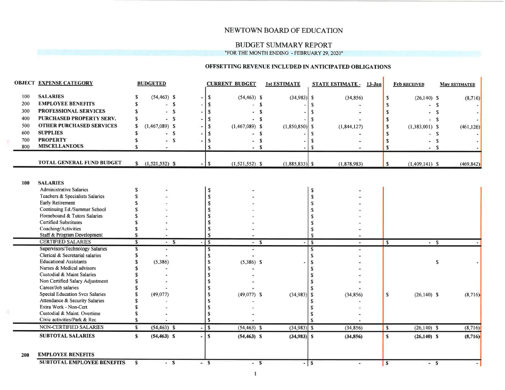### NEWTOWN BOARD OF EDUCATION

#### **BUDGET SUMMARY REPORT** "FOR THE MONTH ENDING - FEBRUARY 29, 2020"

#### OFFSETTING REVENUE INCLUDED IN ANTICIPATED OBLIGATIONS

|            | <b>OBJECT EXPENSE CATEGORY</b>                          |                         | <b>BUDGETED</b>   |                  |                         | <b>CURRENT BUDGET</b> |                         | <b>1st ESTIMATE</b> |                         | <b>STATE ESTIMATE - 13-Jan</b> |               | <b>Feb RECEIVED</b> |   | <b>May ESTIMATED</b> |
|------------|---------------------------------------------------------|-------------------------|-------------------|------------------|-------------------------|-----------------------|-------------------------|---------------------|-------------------------|--------------------------------|---------------|---------------------|---|----------------------|
| 100        | <b>SALARIES</b>                                         |                         | $(54, 463)$ \$    |                  | ${\mathbb S}$           | $(54, 463)$ \$        |                         | $(34,983)$ \$       |                         | (34, 856)                      | $\mathbf{s}$  | $(26,140)$ \$       |   | (8,716)              |
| 200        | <b>EMPLOYEE BENEFITS</b>                                |                         | $-$ S             |                  | S                       |                       | $\mathbf{s}$            |                     |                         |                                | S             | - \$                |   |                      |
| 300        | PROFESSIONAL SERVICES                                   |                         | - S               |                  | S                       |                       | $\mathbf{s}$            |                     |                         |                                | <sup>\$</sup> | - \$                |   |                      |
| 400        | PURCHASED PROPERTY SERV.                                |                         | - \$              |                  | S                       | - \$                  |                         |                     |                         |                                | $\mathbf{\$}$ | $-$ \$              |   |                      |
| 500        | <b>OTHER PURCHASED SERVICES</b>                         | £                       | $(1,467,089)$ \$  |                  | s                       | $(1,467,089)$ \$      |                         | $(1,850,850)$ \$    |                         | (1, 844, 127)                  | <sup>\$</sup> | $(1,383,001)$ \$    |   | (461, 126)           |
| 600        | <b>SUPPLIES</b>                                         |                         | -S                |                  | S                       | - \$                  |                         |                     | S                       |                                | $\mathbf{s}$  | - \$                |   |                      |
| 700        | <b>PROPERTY</b>                                         |                         | $-$ S             |                  | s                       |                       | - \$                    |                     |                         |                                | $\mathbf{s}$  | $=$ $\sim$          |   |                      |
| 800        | <b>MISCELLANEOUS</b>                                    |                         |                   |                  | S                       | - \$                  |                         |                     | S                       |                                | <b>S</b>      | - \$                |   |                      |
|            |                                                         |                         |                   |                  |                         |                       |                         |                     |                         |                                |               |                     |   |                      |
|            | <b>TOTAL GENERAL FUND BUDGET</b>                        |                         | $$(1,521,552)$ \$ | $\omega_{\rm c}$ | $\mathbf{s}$            | $(1,521,552)$ \$      |                         | $(1,885,833)$ \$    |                         | (1,878,983)                    | $\mathbf{s}$  | $(1,409,141)$ \$    |   | (469, 842)           |
|            |                                                         |                         |                   |                  |                         |                       |                         |                     |                         |                                |               |                     |   |                      |
| 100        | <b>SALARIES</b>                                         |                         |                   |                  |                         |                       |                         |                     |                         |                                |               |                     |   |                      |
|            | <b>Administrative Salaries</b>                          |                         |                   |                  | S                       |                       |                         |                     | $\mathbf{s}$            |                                |               |                     |   |                      |
|            | Teachers & Specialists Salaries                         |                         |                   |                  | S                       |                       |                         |                     | $\mathbf{s}$            |                                |               |                     |   |                      |
|            | Early Retirement                                        |                         |                   |                  | S                       |                       |                         |                     | $\mathbf{s}$            |                                |               |                     |   |                      |
|            | Continuing Ed./Summer School                            |                         |                   |                  |                         |                       |                         |                     | $\mathbf{s}$            |                                |               |                     |   |                      |
|            | Homebound & Tutors Salaries                             |                         |                   |                  |                         |                       |                         |                     | $\mathbf S$             |                                |               |                     |   |                      |
|            | <b>Certified Substitutes</b>                            |                         |                   |                  |                         |                       |                         |                     | $\mathbf S$             |                                |               |                     |   |                      |
|            | Coaching/Activities                                     |                         |                   |                  | s                       |                       |                         |                     | S.                      |                                |               |                     |   |                      |
|            | Staff & Program Development                             |                         |                   |                  | s                       |                       |                         |                     | S.                      |                                |               |                     |   |                      |
|            | <b>CERTIFIED SALARIES</b>                               | $\overline{\mathbf{s}}$ | - \$              |                  | $\overline{\mathbf{s}}$ | m.                    | $\overline{\mathbf{s}}$ |                     | $\overline{\mathbf{s}}$ |                                | $\sqrt{s}$    | $-$ \$              |   |                      |
|            | Supervisors/Technology Salaries                         |                         |                   |                  | $\overline{\mathbf{s}}$ |                       |                         |                     | S                       |                                |               |                     |   |                      |
|            | Clerical & Secretarial salaries                         |                         |                   |                  | $\mathbf S$             |                       |                         |                     | S                       |                                |               |                     |   |                      |
|            | <b>Educational Assistants</b>                           |                         | (5, 386)          |                  | \$                      | $(5,386)$ \$          |                         |                     | S                       |                                |               |                     | S |                      |
|            | Nurses & Medical advisors<br>Custodial & Maint Salaries |                         |                   |                  | \$<br>\$                |                       |                         |                     | S                       |                                |               |                     |   |                      |
|            | Non Certified Salary Adjustment                         |                         |                   |                  | S                       |                       |                         |                     | s<br>s                  |                                |               |                     |   |                      |
|            | Career/Job salaries                                     |                         |                   |                  |                         |                       |                         |                     | s                       |                                |               |                     |   |                      |
|            | Special Education Svcs Salaries                         |                         | (49, 077)         |                  | \$                      | $(49,077)$ \$         |                         | $(34,983)$ \$       |                         | (34, 856)                      | $\mathbf S$   | $(26, 140)$ \$      |   | (8,716)              |
|            | Attendance & Security Salaries                          |                         |                   |                  | S                       |                       |                         |                     | s                       |                                |               |                     |   |                      |
|            | Extra Work - Non-Cert                                   |                         |                   |                  |                         |                       |                         |                     | S                       |                                |               |                     |   |                      |
|            | Custodial & Maint. Overtime                             |                         |                   |                  | S                       |                       |                         |                     | S                       |                                |               |                     |   |                      |
|            | Civic activities/Park & Rec                             |                         |                   |                  | $\mathbf{s}$            |                       |                         |                     | S                       |                                |               |                     |   |                      |
|            | NON-CERTIFIED SALARIES                                  | S                       | $(54, 463)$ \$    |                  | $\mathbf{s}$            | $(54, 463)$ \$        |                         | $(34,983)$ \$       |                         | (34, 856)                      | l s           | $(26, 140)$ \$      |   | (8,716)              |
|            | <b>SUBTOTAL SALARIES</b>                                | S                       | $(54, 463)$ \$    |                  | S                       | $(54, 463)$ S         |                         | $(34,983)$ S        |                         | (34, 856)                      | $\mathbf{s}$  | $(26,140)$ S        |   | (8,716)              |
| <b>200</b> | <b>EMPLOYEE BENEFITS</b>                                |                         |                   |                  |                         |                       |                         |                     |                         |                                |               |                     |   |                      |
|            | <b>SUBTOTAL EMPLOYEE BENEFITS</b>                       | s                       | $-$ S             |                  | $-5$                    | $- S$                 |                         |                     | $-1s$                   | Tán                            | l s           | $-$ S               |   |                      |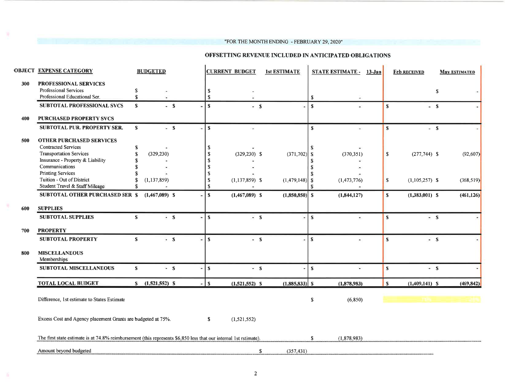#### "FOR THE MONTH ENDING - FEBRUARY 29, 2020"

#### OFFSETTING REVENUE INCLUDED IN ANTICIPATED OBLIGATIONS

|     | <b>OBJECT EXPENSE CATEGORY</b>                                                                                    |              | <b>BUDGETED</b>  |    |                            | <b>CURRENT BUDGET</b> | <b>1st ESTIMATE</b>       |               | <b>STATE ESTIMATE - 13-Jan</b> |              | <b>Feb RECEIVED</b> | <b>May ESTIMATED</b> |
|-----|-------------------------------------------------------------------------------------------------------------------|--------------|------------------|----|----------------------------|-----------------------|---------------------------|---------------|--------------------------------|--------------|---------------------|----------------------|
| 300 | PROFESSIONAL SERVICES<br>Professional Services<br>Professional Educational Ser.                                   | \$<br>S      |                  |    | $\mathbf S$<br>$\mathbf S$ |                       |                           | $\mathbf s$   |                                |              |                     | S                    |
|     | SUBTOTAL PROFESSIONAL SVCS                                                                                        | $\mathbf{s}$ | $-5$             |    | S                          | $-5$                  |                           | $\mathbf{s}$  |                                | S            | $-5$                |                      |
| 400 | <b>PURCHASED PROPERTY SVCS</b>                                                                                    |              |                  |    |                            |                       |                           |               |                                |              |                     |                      |
|     | SUBTOTAL PUR. PROPERTY SER.                                                                                       | $\mathbf{s}$ | $-$ S            |    | ${\bf S}$                  | Ŷ.                    |                           | $\mathbf S$   | ä,                             | s            | $-$ S               |                      |
| 500 | <b>OTHER PURCHASED SERVICES</b><br><b>Contracted Services</b><br><b>Transportation Services</b>                   | S<br>S       | (329, 230)       |    | \$<br>$\mathbf S$          | $(329, 230)$ \$       | $(371, 702)$ \$           |               | (370, 351)                     | $\mathbf S$  | $(277,744)$ \$      | (92, 607)            |
|     | Insurance - Property & Liability                                                                                  |              |                  |    | $\boldsymbol{\mathsf{s}}$  |                       |                           |               |                                |              |                     |                      |
|     | Communications                                                                                                    |              |                  |    | S                          |                       |                           | S             |                                |              |                     |                      |
|     | <b>Printing Services</b><br>Tuition - Out of District<br>Student Travel & Staff Mileage                           |              | (1, 137, 859)    |    | S<br><sup>\$</sup><br>S    | $(1,137,859)$ \$      | $(1,479,148)$ \$          | £.            | (1,473,776)                    | $\mathbf{s}$ | $(1,105,257)$ \$    | (368, 519)           |
|     | <b>SUBTOTAL OTHER PURCHASED SER \$</b>                                                                            |              | $(1,467,089)$ S  |    | S                          | $(1,467,089)$ \$      | $(1,850,850)$ S           |               | (1,844,127)                    | $\mathbf{s}$ | $(1,383,001)$ S     | (461, 126)           |
| 600 | <b>SUPPLIES</b>                                                                                                   |              |                  |    |                            |                       |                           |               |                                |              |                     |                      |
|     | <b>SUBTOTAL SUPPLIES</b>                                                                                          | S            | $-5$             | ä, | $\mathbf{s}$               | $-5$                  |                           | $\mathbf{s}$  | ۰                              | S            | $- S$               |                      |
| 700 | <b>PROPERTY</b>                                                                                                   |              |                  |    |                            |                       |                           |               |                                |              |                     |                      |
|     | <b>SUBTOTAL PROPERTY</b>                                                                                          | S            | $-5$             |    | $\mathbf{s}$               | $- S$                 |                           | S             | ٠                              | $\mathbf{s}$ | $-$ S               |                      |
| 800 | <b>MISCELLANEOUS</b><br>Memberships                                                                               |              |                  |    |                            |                       |                           |               |                                |              |                     |                      |
|     | <b>SUBTOTAL MISCELLANEOUS</b>                                                                                     | S            | $-$ S            |    | $\mathbf{s}$               | $-5$                  |                           | S             | ÷.                             | $\mathbf{s}$ | $-5$                |                      |
|     | <b>TOTAL LOCAL BUDGET</b>                                                                                         |              | $$(1,521,552)$ S |    | $\mathbf{s}$               | $(1,521,552)$ \$      | $(1,885,833)$ \$          |               | (1,878,983)                    | l s          | $(1,409,141)$ S     | (469, 842)           |
|     | Difference, 1st estimate to States Estimate                                                                       |              |                  |    |                            |                       |                           | $\mathbb{S}$  | (6, 850)                       |              |                     |                      |
|     | Excess Cost and Agency placement Grants are budgeted at 75%.                                                      |              |                  |    | \$                         | (1,521,552)           |                           |               |                                |              |                     |                      |
|     | The first state estimate is at 74.8% reimbursement (this represents \$6,850 less that our internal 1st rstimate). |              |                  |    |                            |                       |                           | <sup>\$</sup> | (1,878,983)                    |              |                     |                      |
|     | Amount beyond budgeted                                                                                            |              |                  |    |                            |                       | (357.431)<br>$\mathbf{s}$ |               |                                |              |                     |                      |

u.